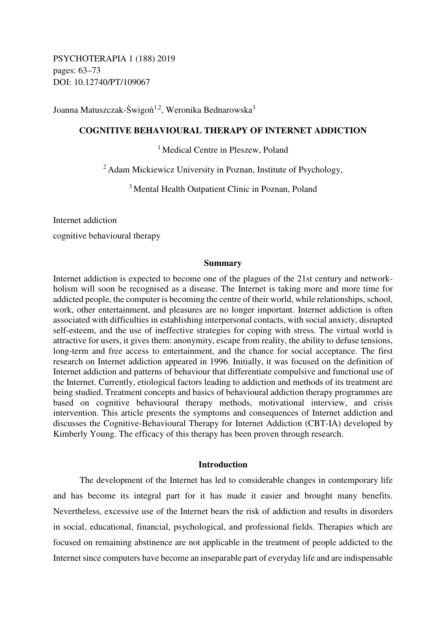PSYCHOTERAPIA 1 (188) 2019 pages: 63–73 DOI: 10.12740/PT/109067

Joanna Matuszczak-Świgoń<sup>1,2</sup>, Weronika Bednarowska<sup>3</sup>

## **COGNITIVE BEHAVIOURAL THERAPY OF INTERNET ADDICTION**

<sup>1</sup> Medical Centre in Pleszew, Poland

<sup>2</sup> Adam Mickiewicz University in Poznan, Institute of Psychology,

<sup>3</sup> Mental Health Outpatient Clinic in Poznan, Poland

Internet addiction

cognitive behavioural therapy

### **Summary**

Internet addiction is expected to become one of the plagues of the 21st century and networkholism will soon be recognised as a disease. The Internet is taking more and more time for addicted people, the computer is becoming the centre of their world, while relationships, school, work, other entertainment, and pleasures are no longer important. Internet addiction is often associated with difficulties in establishing interpersonal contacts, with social anxiety, disrupted self-esteem, and the use of ineffective strategies for coping with stress. The virtual world is attractive for users, it gives them: anonymity, escape from reality, the ability to defuse tensions, long-term and free access to entertainment, and the chance for social acceptance. The first research on Internet addiction appeared in 1996. Initially, it was focused on the definition of Internet addiction and patterns of behaviour that differentiate compulsive and functional use of the Internet. Currently, etiological factors leading to addiction and methods of its treatment are being studied. Treatment concepts and basics of behavioural addiction therapy programmes are based on cognitive behavioural therapy methods, motivational interview, and crisis intervention. This article presents the symptoms and consequences of Internet addiction and discusses the Cognitive-Behavioural Therapy for Internet Addiction (CBT-IA) developed by Kimberly Young. The efficacy of this therapy has been proven through research.

## **Introduction**

The development of the Internet has led to considerable changes in contemporary life and has become its integral part for it has made it easier and brought many benefits. Nevertheless, excessive use of the Internet bears the risk of addiction and results in disorders in social, educational, financial, psychological, and professional fields. Therapies which are focused on remaining abstinence are not applicable in the treatment of people addicted to the Internet since computers have become an inseparable part of everyday life and are indispensable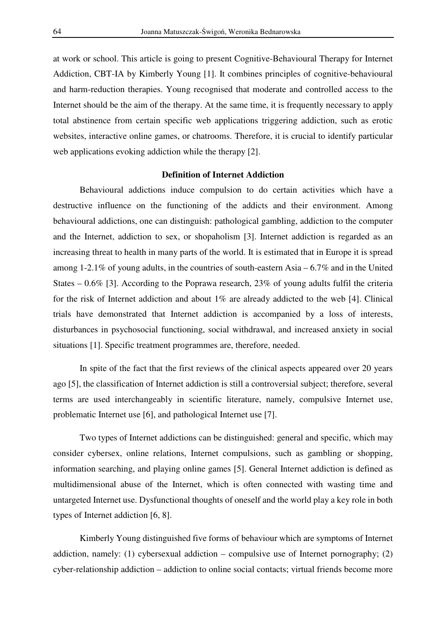at work or school. This article is going to present Cognitive-Behavioural Therapy for Internet Addiction, CBT-IA by Kimberly Young [1]. It combines principles of cognitive-behavioural and harm-reduction therapies. Young recognised that moderate and controlled access to the Internet should be the aim of the therapy. At the same time, it is frequently necessary to apply total abstinence from certain specific web applications triggering addiction, such as erotic websites, interactive online games, or chatrooms. Therefore, it is crucial to identify particular web applications evoking addiction while the therapy [2].

#### **Definition of Internet Addiction**

Behavioural addictions induce compulsion to do certain activities which have a destructive influence on the functioning of the addicts and their environment. Among behavioural addictions, one can distinguish: pathological gambling, addiction to the computer and the Internet, addiction to sex, or shopaholism [3]. Internet addiction is regarded as an increasing threat to health in many parts of the world. It is estimated that in Europe it is spread among 1-2.1% of young adults, in the countries of south-eastern Asia – 6.7% and in the United States – 0.6% [3]. According to the Poprawa research, 23% of young adults fulfil the criteria for the risk of Internet addiction and about 1% are already addicted to the web [4]. Clinical trials have demonstrated that Internet addiction is accompanied by a loss of interests, disturbances in psychosocial functioning, social withdrawal, and increased anxiety in social situations [1]. Specific treatment programmes are, therefore, needed.

In spite of the fact that the first reviews of the clinical aspects appeared over 20 years ago [5], the classification of Internet addiction is still a controversial subject; therefore, several terms are used interchangeably in scientific literature, namely, compulsive Internet use, problematic Internet use [6], and pathological Internet use [7].

Two types of Internet addictions can be distinguished: general and specific, which may consider cybersex, online relations, Internet compulsions, such as gambling or shopping, information searching, and playing online games [5]. General Internet addiction is defined as multidimensional abuse of the Internet, which is often connected with wasting time and untargeted Internet use. Dysfunctional thoughts of oneself and the world play a key role in both types of Internet addiction [6, 8].

Kimberly Young distinguished five forms of behaviour which are symptoms of Internet addiction, namely: (1) cybersexual addiction – compulsive use of Internet pornography; (2) cyber-relationship addiction – addiction to online social contacts; virtual friends become more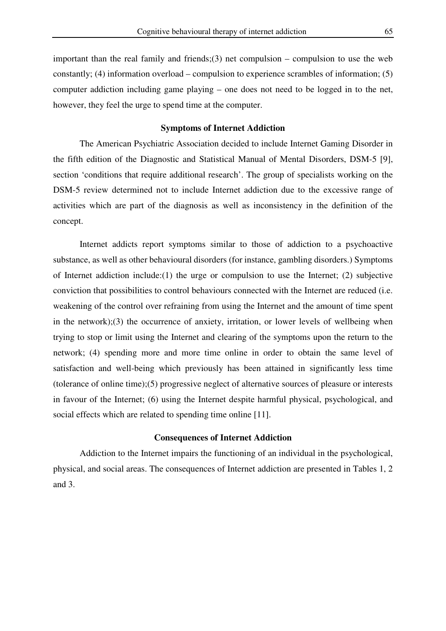important than the real family and friends;(3) net compulsion – compulsion to use the web constantly; (4) information overload – compulsion to experience scrambles of information; (5) computer addiction including game playing – one does not need to be logged in to the net, however, they feel the urge to spend time at the computer.

### **Symptoms of Internet Addiction**

The American Psychiatric Association decided to include Internet Gaming Disorder in the fifth edition of the Diagnostic and Statistical Manual of Mental Disorders, DSM-5 [9], section 'conditions that require additional research'. The group of specialists working on the DSM-5 review determined not to include Internet addiction due to the excessive range of activities which are part of the diagnosis as well as inconsistency in the definition of the concept.

Internet addicts report symptoms similar to those of addiction to a psychoactive substance, as well as other behavioural disorders (for instance, gambling disorders.) Symptoms of Internet addiction include:(1) the urge or compulsion to use the Internet; (2) subjective conviction that possibilities to control behaviours connected with the Internet are reduced (i.e. weakening of the control over refraining from using the Internet and the amount of time spent in the network);(3) the occurrence of anxiety, irritation, or lower levels of wellbeing when trying to stop or limit using the Internet and clearing of the symptoms upon the return to the network; (4) spending more and more time online in order to obtain the same level of satisfaction and well-being which previously has been attained in significantly less time (tolerance of online time);(5) progressive neglect of alternative sources of pleasure or interests in favour of the Internet; (6) using the Internet despite harmful physical, psychological, and social effects which are related to spending time online [11].

### **Consequences of Internet Addiction**

Addiction to the Internet impairs the functioning of an individual in the psychological, physical, and social areas. The consequences of Internet addiction are presented in Tables 1, 2 and 3.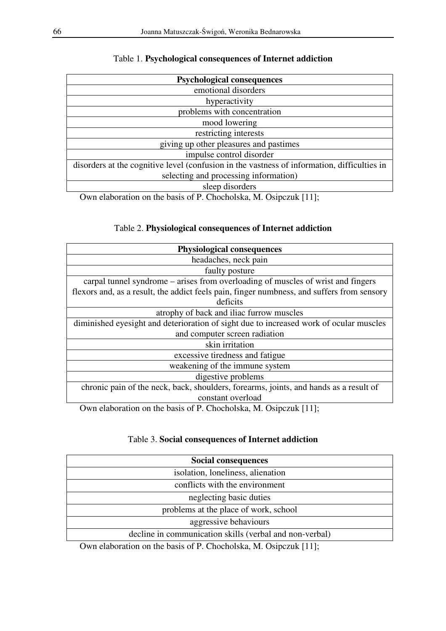| <b>Psychological consequences</b>                                                           |  |  |  |  |  |
|---------------------------------------------------------------------------------------------|--|--|--|--|--|
| emotional disorders                                                                         |  |  |  |  |  |
| hyperactivity                                                                               |  |  |  |  |  |
| problems with concentration                                                                 |  |  |  |  |  |
| mood lowering                                                                               |  |  |  |  |  |
| restricting interests                                                                       |  |  |  |  |  |
| giving up other pleasures and pastimes                                                      |  |  |  |  |  |
| impulse control disorder                                                                    |  |  |  |  |  |
| disorders at the cognitive level (confusion in the vastness of information, difficulties in |  |  |  |  |  |
| selecting and processing information)                                                       |  |  |  |  |  |
| sleep disorders                                                                             |  |  |  |  |  |

# Table 1. **Psychological consequences of Internet addiction**

Own elaboration on the basis of P. Chocholska, M. Osipczuk [11];

# Table 2. **Physiological consequences of Internet addiction**

| <b>Physiological consequences</b>                                                                                    |  |  |  |  |  |  |
|----------------------------------------------------------------------------------------------------------------------|--|--|--|--|--|--|
| headaches, neck pain                                                                                                 |  |  |  |  |  |  |
| faulty posture                                                                                                       |  |  |  |  |  |  |
| carpal tunnel syndrome – arises from overloading of muscles of wrist and fingers                                     |  |  |  |  |  |  |
| flexors and, as a result, the addict feels pain, finger numbness, and suffers from sensory                           |  |  |  |  |  |  |
| deficits                                                                                                             |  |  |  |  |  |  |
| atrophy of back and iliac furrow muscles                                                                             |  |  |  |  |  |  |
| diminished eyesight and deterioration of sight due to increased work of ocular muscles                               |  |  |  |  |  |  |
| and computer screen radiation                                                                                        |  |  |  |  |  |  |
| skin irritation                                                                                                      |  |  |  |  |  |  |
| excessive tiredness and fatigue                                                                                      |  |  |  |  |  |  |
| weakening of the immune system                                                                                       |  |  |  |  |  |  |
| digestive problems                                                                                                   |  |  |  |  |  |  |
| chronic pain of the neck, back, shoulders, forearms, joints, and hands as a result of                                |  |  |  |  |  |  |
| constant overload                                                                                                    |  |  |  |  |  |  |
| $Q_{\text{true}}$ algharation on the heair of $D$ , $Q_{\text{break}}$ alghara $M$ , $Q_{\text{time}}$ and $[111]$ . |  |  |  |  |  |  |

Own elaboration on the basis of P. Chocholska, M. Osipczuk [11];

## Table 3. **Social consequences of Internet addiction**

| <b>Social consequences</b>                              |  |  |  |  |  |  |
|---------------------------------------------------------|--|--|--|--|--|--|
| isolation, loneliness, alienation                       |  |  |  |  |  |  |
| conflicts with the environment                          |  |  |  |  |  |  |
| neglecting basic duties                                 |  |  |  |  |  |  |
| problems at the place of work, school                   |  |  |  |  |  |  |
| aggressive behaviours                                   |  |  |  |  |  |  |
| decline in communication skills (verbal and non-verbal) |  |  |  |  |  |  |

Own elaboration on the basis of P. Chocholska, M. Osipczuk [11];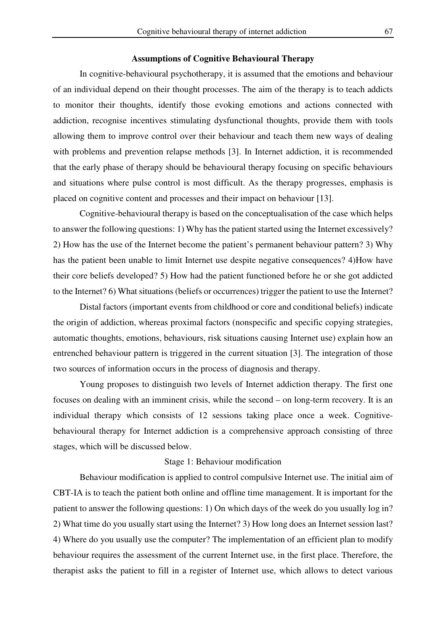#### **Assumptions of Cognitive Behavioural Therapy**

In cognitive-behavioural psychotherapy, it is assumed that the emotions and behaviour of an individual depend on their thought processes. The aim of the therapy is to teach addicts to monitor their thoughts, identify those evoking emotions and actions connected with addiction, recognise incentives stimulating dysfunctional thoughts, provide them with tools allowing them to improve control over their behaviour and teach them new ways of dealing with problems and prevention relapse methods [3]. In Internet addiction, it is recommended that the early phase of therapy should be behavioural therapy focusing on specific behaviours and situations where pulse control is most difficult. As the therapy progresses, emphasis is placed on cognitive content and processes and their impact on behaviour [13].

Cognitive-behavioural therapy is based on the conceptualisation of the case which helps to answer the following questions: 1) Why has the patient started using the Internet excessively? 2) How has the use of the Internet become the patient's permanent behaviour pattern? 3) Why has the patient been unable to limit Internet use despite negative consequences? 4)How have their core beliefs developed? 5) How had the patient functioned before he or she got addicted to the Internet? 6) What situations (beliefs or occurrences) trigger the patient to use the Internet?

Distal factors (important events from childhood or core and conditional beliefs) indicate the origin of addiction, whereas proximal factors (nonspecific and specific copying strategies, automatic thoughts, emotions, behaviours, risk situations causing Internet use) explain how an entrenched behaviour pattern is triggered in the current situation [3]. The integration of those two sources of information occurs in the process of diagnosis and therapy.

Young proposes to distinguish two levels of Internet addiction therapy. The first one focuses on dealing with an imminent crisis, while the second – on long-term recovery. It is an individual therapy which consists of 12 sessions taking place once a week. Cognitivebehavioural therapy for Internet addiction is a comprehensive approach consisting of three stages, which will be discussed below.

## Stage 1: Behaviour modification

Behaviour modification is applied to control compulsive Internet use. The initial aim of CBT-IA is to teach the patient both online and offline time management. It is important for the patient to answer the following questions: 1) On which days of the week do you usually log in? 2) What time do you usually start using the Internet? 3) How long does an Internet session last? 4) Where do you usually use the computer? The implementation of an efficient plan to modify behaviour requires the assessment of the current Internet use, in the first place. Therefore, the therapist asks the patient to fill in a register of Internet use, which allows to detect various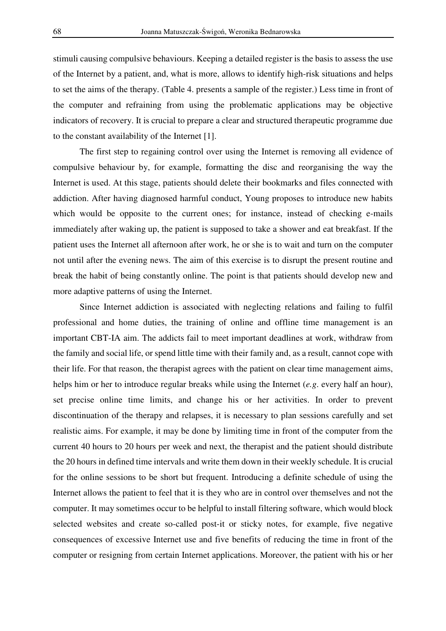stimuli causing compulsive behaviours. Keeping a detailed register is the basis to assess the use of the Internet by a patient, and, what is more, allows to identify high-risk situations and helps to set the aims of the therapy. (Table 4. presents a sample of the register.) Less time in front of the computer and refraining from using the problematic applications may be objective indicators of recovery. It is crucial to prepare a clear and structured therapeutic programme due to the constant availability of the Internet [1].

The first step to regaining control over using the Internet is removing all evidence of compulsive behaviour by, for example, formatting the disc and reorganising the way the Internet is used. At this stage, patients should delete their bookmarks and files connected with addiction. After having diagnosed harmful conduct, Young proposes to introduce new habits which would be opposite to the current ones; for instance, instead of checking e-mails immediately after waking up, the patient is supposed to take a shower and eat breakfast. If the patient uses the Internet all afternoon after work, he or she is to wait and turn on the computer not until after the evening news. The aim of this exercise is to disrupt the present routine and break the habit of being constantly online. The point is that patients should develop new and more adaptive patterns of using the Internet.

Since Internet addiction is associated with neglecting relations and failing to fulfil professional and home duties, the training of online and offline time management is an important CBT-IA aim. The addicts fail to meet important deadlines at work, withdraw from the family and social life, or spend little time with their family and, as a result, cannot cope with their life. For that reason, the therapist agrees with the patient on clear time management aims, helps him or her to introduce regular breaks while using the Internet (*e.g*. every half an hour), set precise online time limits, and change his or her activities. In order to prevent discontinuation of the therapy and relapses, it is necessary to plan sessions carefully and set realistic aims. For example, it may be done by limiting time in front of the computer from the current 40 hours to 20 hours per week and next, the therapist and the patient should distribute the 20 hours in defined time intervals and write them down in their weekly schedule. It is crucial for the online sessions to be short but frequent. Introducing a definite schedule of using the Internet allows the patient to feel that it is they who are in control over themselves and not the computer. It may sometimes occur to be helpful to install filtering software, which would block selected websites and create so-called post-it or sticky notes, for example, five negative consequences of excessive Internet use and five benefits of reducing the time in front of the computer or resigning from certain Internet applications. Moreover, the patient with his or her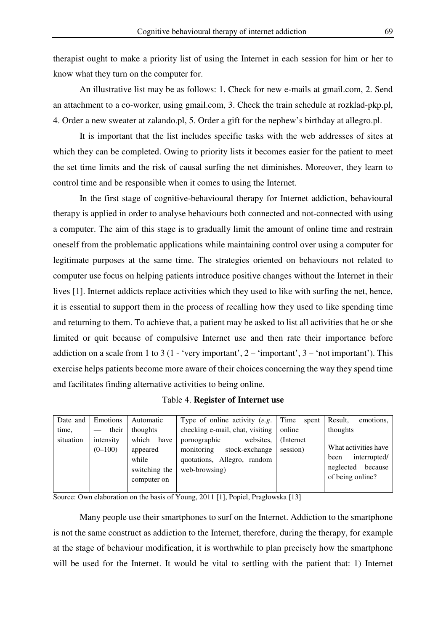therapist ought to make a priority list of using the Internet in each session for him or her to know what they turn on the computer for.

An illustrative list may be as follows: 1. Check for new e-mails at gmail.com, 2. Send an attachment to a co-worker, using gmail.com, 3. Check the train schedule at rozklad-pkp.pl, 4. Order a new sweater at zalando.pl, 5. Order a gift for the nephew's birthday at allegro.pl.

It is important that the list includes specific tasks with the web addresses of sites at which they can be completed. Owing to priority lists it becomes easier for the patient to meet the set time limits and the risk of causal surfing the net diminishes. Moreover, they learn to control time and be responsible when it comes to using the Internet.

In the first stage of cognitive-behavioural therapy for Internet addiction, behavioural therapy is applied in order to analyse behaviours both connected and not-connected with using a computer. The aim of this stage is to gradually limit the amount of online time and restrain oneself from the problematic applications while maintaining control over using a computer for legitimate purposes at the same time. The strategies oriented on behaviours not related to computer use focus on helping patients introduce positive changes without the Internet in their lives [1]. Internet addicts replace activities which they used to like with surfing the net, hence, it is essential to support them in the process of recalling how they used to like spending time and returning to them. To achieve that, a patient may be asked to list all activities that he or she limited or quit because of compulsive Internet use and then rate their importance before addiction on a scale from 1 to 3 (1 - 'very important',  $2 -$  'important',  $3 -$  'not important'). This exercise helps patients become more aware of their choices concerning the way they spend time and facilitates finding alternative activities to being online.

Table 4. **Register of Internet use**

| Date and l | Emotions  | Automatic     | Type of online activity $(e.g.   Time)$ | spent      | Result.<br>emotions, |
|------------|-----------|---------------|-----------------------------------------|------------|----------------------|
| time,      | their     | thoughts      | checking e-mail, chat, visiting         | online     | thoughts             |
| situation  | intensity | which have    | pornographic<br>websites.               | (Internet) |                      |
|            | $(0-100)$ | appeared      | monitoring<br>stock-exchange            | session)   | What activities have |
|            |           | while         | quotations, Allegro, random             |            | interrupted/<br>been |
|            |           | switching the | web-browsing)                           |            | neglected because    |
|            |           | computer on   |                                         |            | of being online?     |
|            |           |               |                                         |            |                      |

Source: Own elaboration on the basis of Young, 2011 [1], Popiel, Pragłowska [13]

Many people use their smartphones to surf on the Internet. Addiction to the smartphone is not the same construct as addiction to the Internet, therefore, during the therapy, for example at the stage of behaviour modification, it is worthwhile to plan precisely how the smartphone will be used for the Internet. It would be vital to settling with the patient that: 1) Internet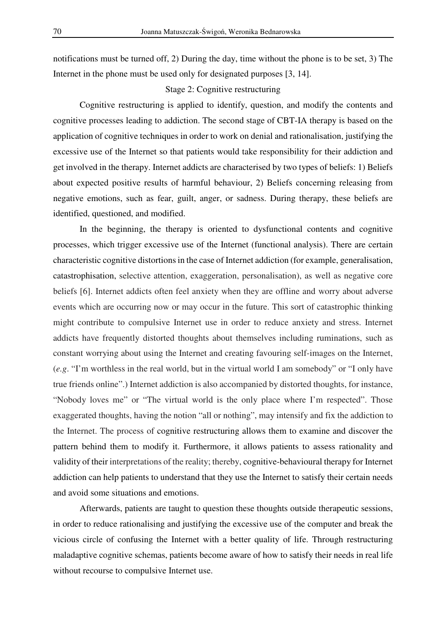notifications must be turned off, 2) During the day, time without the phone is to be set, 3) The Internet in the phone must be used only for designated purposes [3, 14].

## Stage 2: Cognitive restructuring

Cognitive restructuring is applied to identify, question, and modify the contents and cognitive processes leading to addiction. The second stage of CBT-IA therapy is based on the application of cognitive techniques in order to work on denial and rationalisation, justifying the excessive use of the Internet so that patients would take responsibility for their addiction and get involved in the therapy. Internet addicts are characterised by two types of beliefs: 1) Beliefs about expected positive results of harmful behaviour, 2) Beliefs concerning releasing from negative emotions, such as fear, guilt, anger, or sadness. During therapy, these beliefs are identified, questioned, and modified.

In the beginning, the therapy is oriented to dysfunctional contents and cognitive processes, which trigger excessive use of the Internet (functional analysis). There are certain characteristic cognitive distortions in the case of Internet addiction (for example, generalisation, catastrophisation, selective attention, exaggeration, personalisation), as well as negative core beliefs [6]. Internet addicts often feel anxiety when they are offline and worry about adverse events which are occurring now or may occur in the future. This sort of catastrophic thinking might contribute to compulsive Internet use in order to reduce anxiety and stress. Internet addicts have frequently distorted thoughts about themselves including ruminations, such as constant worrying about using the Internet and creating favouring self-images on the Internet, (*e.g*. "I'm worthless in the real world, but in the virtual world I am somebody" or "I only have true friends online".) Internet addiction is also accompanied by distorted thoughts, for instance, "Nobody loves me" or "The virtual world is the only place where I'm respected". Those exaggerated thoughts, having the notion "all or nothing", may intensify and fix the addiction to the Internet. The process of cognitive restructuring allows them to examine and discover the pattern behind them to modify it. Furthermore, it allows patients to assess rationality and validity of their interpretations of the reality; thereby, cognitive-behavioural therapy for Internet addiction can help patients to understand that they use the Internet to satisfy their certain needs and avoid some situations and emotions.

Afterwards, patients are taught to question these thoughts outside therapeutic sessions, in order to reduce rationalising and justifying the excessive use of the computer and break the vicious circle of confusing the Internet with a better quality of life. Through restructuring maladaptive cognitive schemas, patients become aware of how to satisfy their needs in real life without recourse to compulsive Internet use.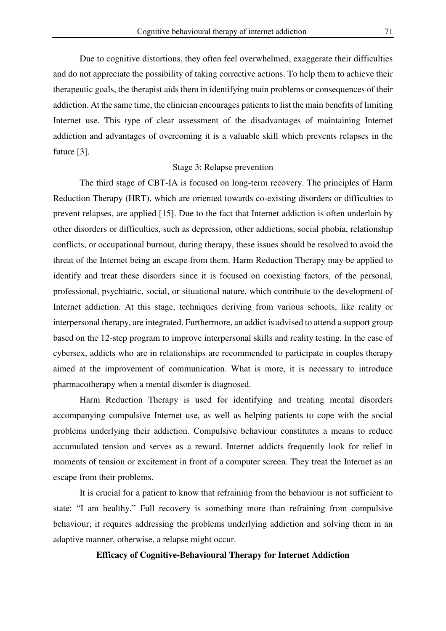Due to cognitive distortions, they often feel overwhelmed, exaggerate their difficulties and do not appreciate the possibility of taking corrective actions. To help them to achieve their therapeutic goals, the therapist aids them in identifying main problems or consequences of their addiction. At the same time, the clinician encourages patients to list the main benefits of limiting Internet use. This type of clear assessment of the disadvantages of maintaining Internet addiction and advantages of overcoming it is a valuable skill which prevents relapses in the future [3].

### Stage 3: Relapse prevention

The third stage of CBT-IA is focused on long-term recovery. The principles of Harm Reduction Therapy (HRT), which are oriented towards co-existing disorders or difficulties to prevent relapses, are applied [15]. Due to the fact that Internet addiction is often underlain by other disorders or difficulties, such as depression, other addictions, social phobia, relationship conflicts, or occupational burnout, during therapy, these issues should be resolved to avoid the threat of the Internet being an escape from them. Harm Reduction Therapy may be applied to identify and treat these disorders since it is focused on coexisting factors, of the personal, professional, psychiatric, social, or situational nature, which contribute to the development of Internet addiction. At this stage, techniques deriving from various schools, like reality or interpersonal therapy, are integrated. Furthermore, an addict is advised to attend a support group based on the 12-step program to improve interpersonal skills and reality testing. In the case of cybersex, addicts who are in relationships are recommended to participate in couples therapy aimed at the improvement of communication. What is more, it is necessary to introduce pharmacotherapy when a mental disorder is diagnosed.

Harm Reduction Therapy is used for identifying and treating mental disorders accompanying compulsive Internet use, as well as helping patients to cope with the social problems underlying their addiction. Compulsive behaviour constitutes a means to reduce accumulated tension and serves as a reward. Internet addicts frequently look for relief in moments of tension or excitement in front of a computer screen. They treat the Internet as an escape from their problems.

It is crucial for a patient to know that refraining from the behaviour is not sufficient to state: "I am healthy." Full recovery is something more than refraining from compulsive behaviour; it requires addressing the problems underlying addiction and solving them in an adaptive manner, otherwise, a relapse might occur.

### **Efficacy of Cognitive-Behavioural Therapy for Internet Addiction**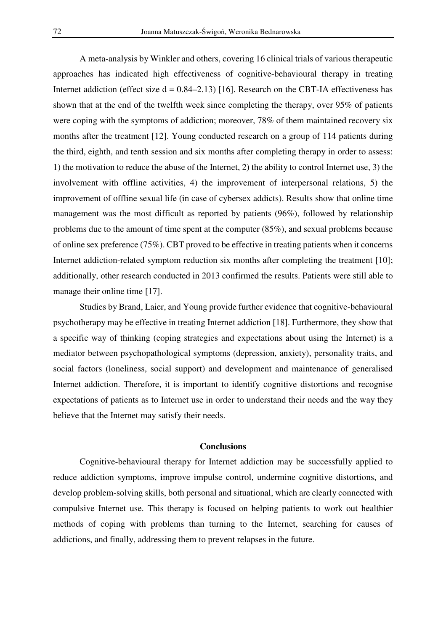A meta-analysis by Winkler and others, covering 16 clinical trials of various therapeutic approaches has indicated high effectiveness of cognitive-behavioural therapy in treating Internet addiction (effect size  $d = 0.84 - 2.13$ ) [16]. Research on the CBT-IA effectiveness has shown that at the end of the twelfth week since completing the therapy, over 95% of patients were coping with the symptoms of addiction; moreover, 78% of them maintained recovery six months after the treatment [12]. Young conducted research on a group of 114 patients during the third, eighth, and tenth session and six months after completing therapy in order to assess: 1) the motivation to reduce the abuse of the Internet, 2) the ability to control Internet use, 3) the involvement with offline activities, 4) the improvement of interpersonal relations, 5) the improvement of offline sexual life (in case of cybersex addicts). Results show that online time management was the most difficult as reported by patients (96%), followed by relationship problems due to the amount of time spent at the computer (85%), and sexual problems because of online sex preference (75%). CBT proved to be effective in treating patients when it concerns Internet addiction-related symptom reduction six months after completing the treatment [10]; additionally, other research conducted in 2013 confirmed the results. Patients were still able to manage their online time [17].

Studies by Brand, Laier, and Young provide further evidence that cognitive-behavioural psychotherapy may be effective in treating Internet addiction [18]. Furthermore, they show that a specific way of thinking (coping strategies and expectations about using the Internet) is a mediator between psychopathological symptoms (depression, anxiety), personality traits, and social factors (loneliness, social support) and development and maintenance of generalised Internet addiction. Therefore, it is important to identify cognitive distortions and recognise expectations of patients as to Internet use in order to understand their needs and the way they believe that the Internet may satisfy their needs.

### **Conclusions**

Cognitive-behavioural therapy for Internet addiction may be successfully applied to reduce addiction symptoms, improve impulse control, undermine cognitive distortions, and develop problem-solving skills, both personal and situational, which are clearly connected with compulsive Internet use. This therapy is focused on helping patients to work out healthier methods of coping with problems than turning to the Internet, searching for causes of addictions, and finally, addressing them to prevent relapses in the future.